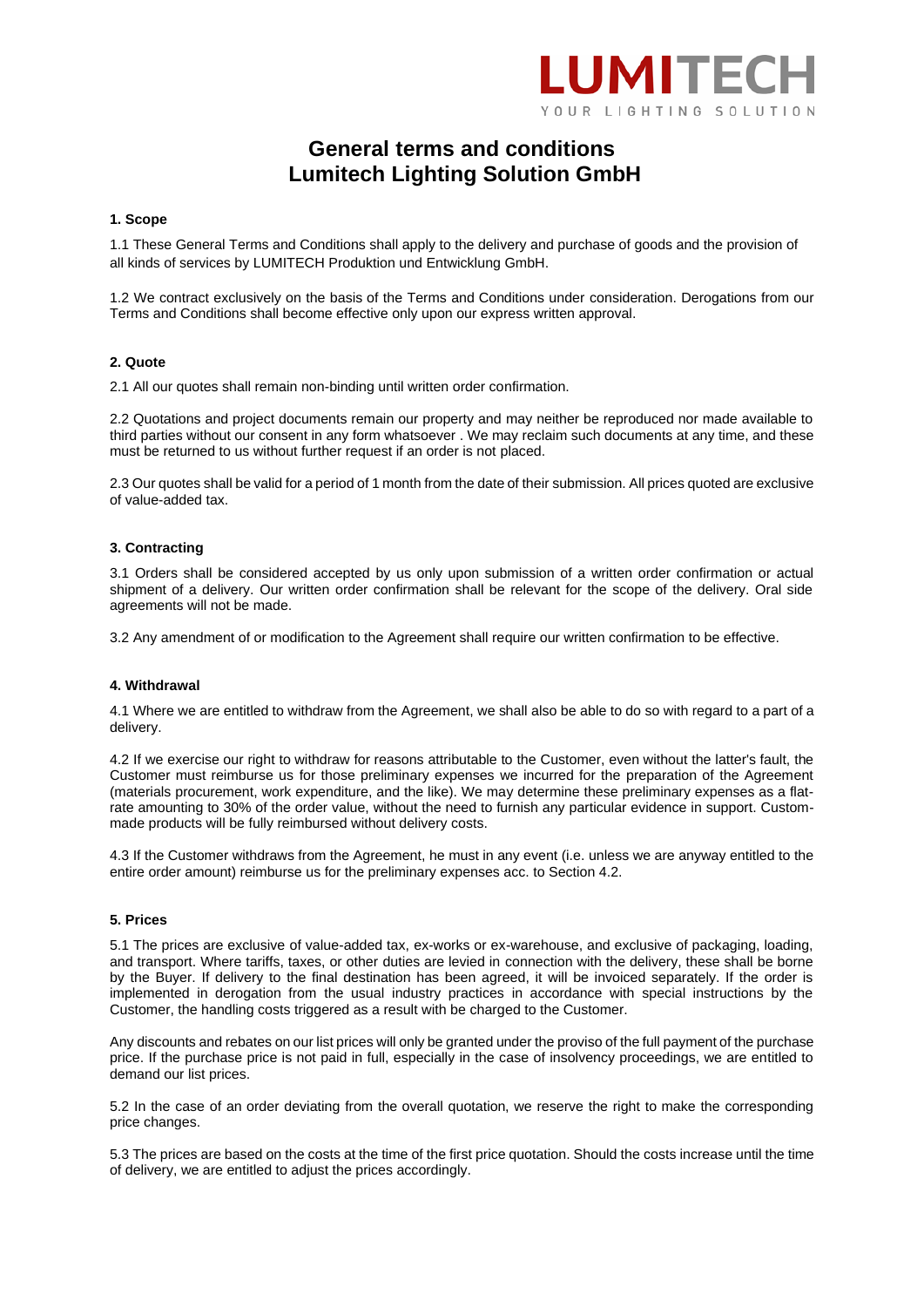

# **General terms and conditions Lumitech Lighting Solution GmbH**

## **1. Scope**

1.1 These General Terms and Conditions shall apply to the delivery and purchase of goods and the provision of all kinds of services by LUMITECH Produktion und Entwicklung GmbH.

1.2 We contract exclusively on the basis of the Terms and Conditions under consideration. Derogations from our Terms and Conditions shall become effective only upon our express written approval.

#### **2. Quote**

2.1 All our quotes shall remain non-binding until written order confirmation.

2.2 Quotations and project documents remain our property and may neither be reproduced nor made available to third parties without our consent in any form whatsoever . We may reclaim such documents at any time, and these must be returned to us without further request if an order is not placed.

2.3 Our quotes shall be valid for a period of 1 month from the date of their submission. All prices quoted are exclusive of value-added tax.

#### **3. Contracting**

3.1 Orders shall be considered accepted by us only upon submission of a written order confirmation or actual shipment of a delivery. Our written order confirmation shall be relevant for the scope of the delivery. Oral side agreements will not be made.

3.2 Any amendment of or modification to the Agreement shall require our written confirmation to be effective.

#### **4. Withdrawal**

4.1 Where we are entitled to withdraw from the Agreement, we shall also be able to do so with regard to a part of a delivery.

4.2 If we exercise our right to withdraw for reasons attributable to the Customer, even without the latter's fault, the Customer must reimburse us for those preliminary expenses we incurred for the preparation of the Agreement (materials procurement, work expenditure, and the like). We may determine these preliminary expenses as a flatrate amounting to 30% of the order value, without the need to furnish any particular evidence in support. Custommade products will be fully reimbursed without delivery costs.

4.3 If the Customer withdraws from the Agreement, he must in any event (i.e. unless we are anyway entitled to the entire order amount) reimburse us for the preliminary expenses acc. to Section 4.2.

#### **5. Prices**

5.1 The prices are exclusive of value-added tax, ex-works or ex-warehouse, and exclusive of packaging, loading, and transport. Where tariffs, taxes, or other duties are levied in connection with the delivery, these shall be borne by the Buyer. If delivery to the final destination has been agreed, it will be invoiced separately. If the order is implemented in derogation from the usual industry practices in accordance with special instructions by the Customer, the handling costs triggered as a result with be charged to the Customer.

Any discounts and rebates on our list prices will only be granted under the proviso of the full payment of the purchase price. If the purchase price is not paid in full, especially in the case of insolvency proceedings, we are entitled to demand our list prices.

5.2 In the case of an order deviating from the overall quotation, we reserve the right to make the corresponding price changes.

5.3 The prices are based on the costs at the time of the first price quotation. Should the costs increase until the time of delivery, we are entitled to adjust the prices accordingly.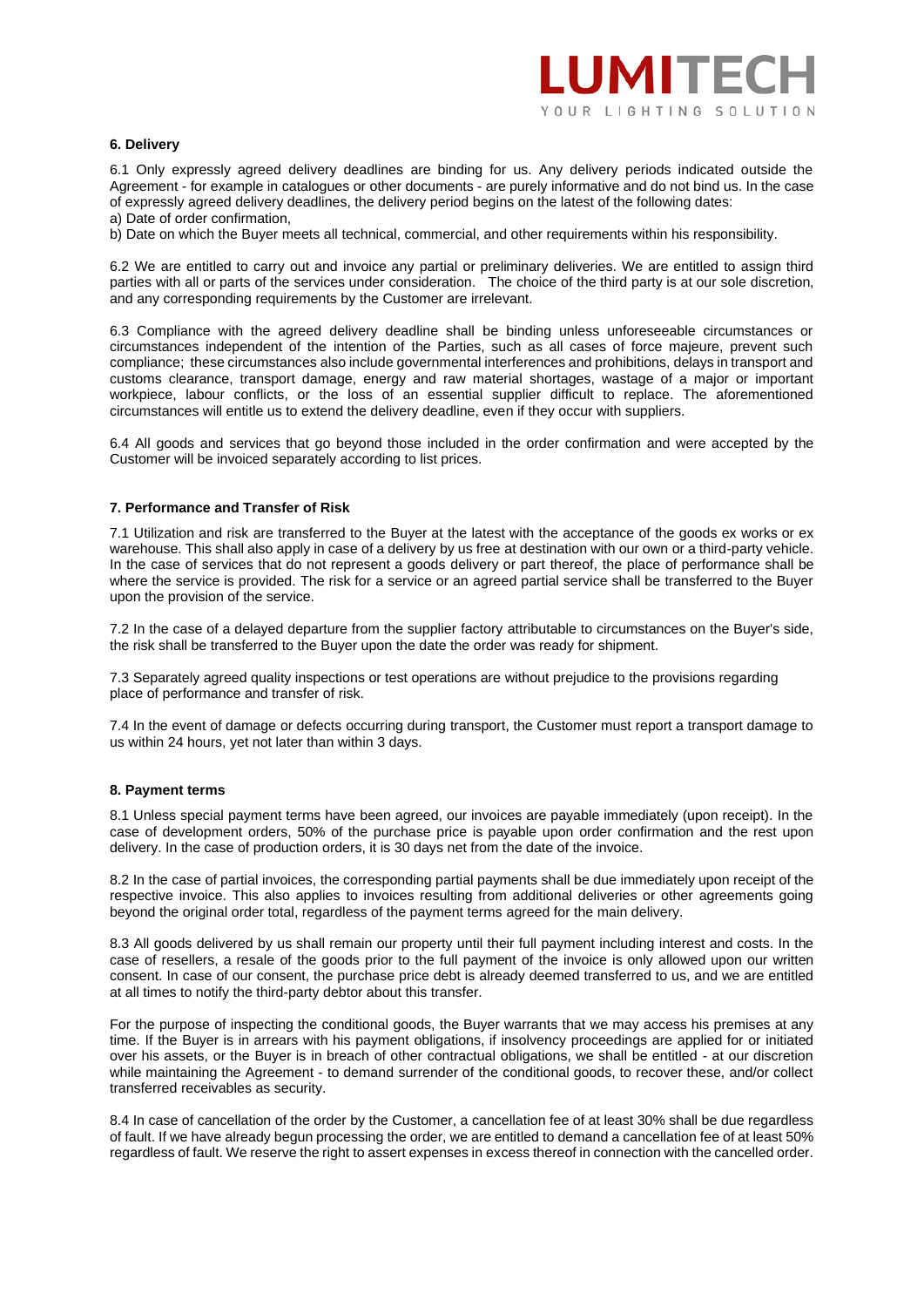## **6. Delivery**

6.1 Only expressly agreed delivery deadlines are binding for us. Any delivery periods indicated outside the Agreement - for example in catalogues or other documents - are purely informative and do not bind us. In the case of expressly agreed delivery deadlines, the delivery period begins on the latest of the following dates:

a) Date of order confirmation,

b) Date on which the Buyer meets all technical, commercial, and other requirements within his responsibility.

6.2 We are entitled to carry out and invoice any partial or preliminary deliveries. We are entitled to assign third parties with all or parts of the services under consideration. The choice of the third party is at our sole discretion, and any corresponding requirements by the Customer are irrelevant.

6.3 Compliance with the agreed delivery deadline shall be binding unless unforeseeable circumstances or circumstances independent of the intention of the Parties, such as all cases of force majeure, prevent such compliance; these circumstances also include governmental interferences and prohibitions, delays in transport and customs clearance, transport damage, energy and raw material shortages, wastage of a major or important workpiece, labour conflicts, or the loss of an essential supplier difficult to replace. The aforementioned circumstances will entitle us to extend the delivery deadline, even if they occur with suppliers.

6.4 All goods and services that go beyond those included in the order confirmation and were accepted by the Customer will be invoiced separately according to list prices.

# **7. Performance and Transfer of Risk**

7.1 Utilization and risk are transferred to the Buyer at the latest with the acceptance of the goods ex works or ex warehouse. This shall also apply in case of a delivery by us free at destination with our own or a third-party vehicle. In the case of services that do not represent a goods delivery or part thereof, the place of performance shall be where the service is provided. The risk for a service or an agreed partial service shall be transferred to the Buyer upon the provision of the service.

7.2 In the case of a delayed departure from the supplier factory attributable to circumstances on the Buyer's side, the risk shall be transferred to the Buyer upon the date the order was ready for shipment.

7.3 Separately agreed quality inspections or test operations are without prejudice to the provisions regarding place of performance and transfer of risk.

7.4 In the event of damage or defects occurring during transport, the Customer must report a transport damage to us within 24 hours, yet not later than within 3 days.

## **8. Payment terms**

8.1 Unless special payment terms have been agreed, our invoices are payable immediately (upon receipt). In the case of development orders, 50% of the purchase price is payable upon order confirmation and the rest upon delivery. In the case of production orders, it is 30 days net from the date of the invoice.

8.2 In the case of partial invoices, the corresponding partial payments shall be due immediately upon receipt of the respective invoice. This also applies to invoices resulting from additional deliveries or other agreements going beyond the original order total, regardless of the payment terms agreed for the main delivery.

8.3 All goods delivered by us shall remain our property until their full payment including interest and costs. In the case of resellers, a resale of the goods prior to the full payment of the invoice is only allowed upon our written consent. In case of our consent, the purchase price debt is already deemed transferred to us, and we are entitled at all times to notify the third-party debtor about this transfer.

For the purpose of inspecting the conditional goods, the Buyer warrants that we may access his premises at any time. If the Buyer is in arrears with his payment obligations, if insolvency proceedings are applied for or initiated over his assets, or the Buyer is in breach of other contractual obligations, we shall be entitled - at our discretion while maintaining the Agreement - to demand surrender of the conditional goods, to recover these, and/or collect transferred receivables as security.

8.4 In case of cancellation of the order by the Customer, a cancellation fee of at least 30% shall be due regardless of fault. If we have already begun processing the order, we are entitled to demand a cancellation fee of at least 50% regardless of fault. We reserve the right to assert expenses in excess thereof in connection with the cancelled order.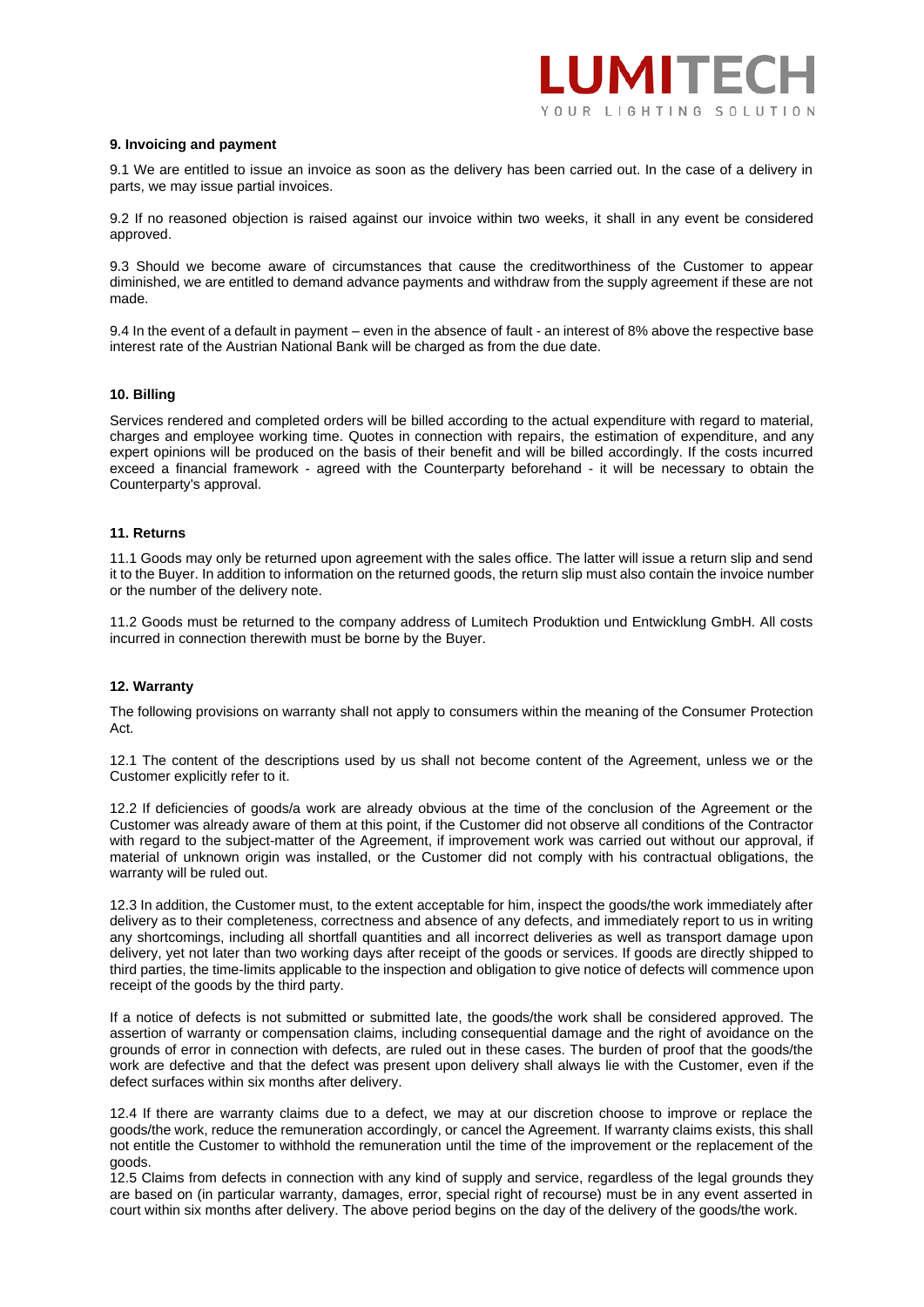### **9. Invoicing and payment**

9.1 We are entitled to issue an invoice as soon as the delivery has been carried out. In the case of a delivery in parts, we may issue partial invoices.

9.2 If no reasoned objection is raised against our invoice within two weeks, it shall in any event be considered approved.

9.3 Should we become aware of circumstances that cause the creditworthiness of the Customer to appear diminished, we are entitled to demand advance payments and withdraw from the supply agreement if these are not made.

9.4 In the event of a default in payment – even in the absence of fault - an interest of 8% above the respective base interest rate of the Austrian National Bank will be charged as from the due date.

#### **10. Billing**

Services rendered and completed orders will be billed according to the actual expenditure with regard to material, charges and employee working time. Quotes in connection with repairs, the estimation of expenditure, and any expert opinions will be produced on the basis of their benefit and will be billed accordingly. If the costs incurred exceed a financial framework - agreed with the Counterparty beforehand - it will be necessary to obtain the Counterparty's approval.

#### **11. Returns**

11.1 Goods may only be returned upon agreement with the sales office. The latter will issue a return slip and send it to the Buyer. In addition to information on the returned goods, the return slip must also contain the invoice number or the number of the delivery note.

11.2 Goods must be returned to the company address of Lumitech Produktion und Entwicklung GmbH. All costs incurred in connection therewith must be borne by the Buyer.

## **12. Warranty**

The following provisions on warranty shall not apply to consumers within the meaning of the Consumer Protection Act.

12.1 The content of the descriptions used by us shall not become content of the Agreement, unless we or the Customer explicitly refer to it.

12.2 If deficiencies of goods/a work are already obvious at the time of the conclusion of the Agreement or the Customer was already aware of them at this point, if the Customer did not observe all conditions of the Contractor with regard to the subject-matter of the Agreement, if improvement work was carried out without our approval, if material of unknown origin was installed, or the Customer did not comply with his contractual obligations, the warranty will be ruled out.

12.3 In addition, the Customer must, to the extent acceptable for him, inspect the goods/the work immediately after delivery as to their completeness, correctness and absence of any defects, and immediately report to us in writing any shortcomings, including all shortfall quantities and all incorrect deliveries as well as transport damage upon delivery, yet not later than two working days after receipt of the goods or services. If goods are directly shipped to third parties, the time-limits applicable to the inspection and obligation to give notice of defects will commence upon receipt of the goods by the third party.

If a notice of defects is not submitted or submitted late, the goods/the work shall be considered approved. The assertion of warranty or compensation claims, including consequential damage and the right of avoidance on the grounds of error in connection with defects, are ruled out in these cases. The burden of proof that the goods/the work are defective and that the defect was present upon delivery shall always lie with the Customer, even if the defect surfaces within six months after delivery.

12.4 If there are warranty claims due to a defect, we may at our discretion choose to improve or replace the goods/the work, reduce the remuneration accordingly, or cancel the Agreement. If warranty claims exists, this shall not entitle the Customer to withhold the remuneration until the time of the improvement or the replacement of the goods.

12.5 Claims from defects in connection with any kind of supply and service, regardless of the legal grounds they are based on (in particular warranty, damages, error, special right of recourse) must be in any event asserted in court within six months after delivery. The above period begins on the day of the delivery of the goods/the work.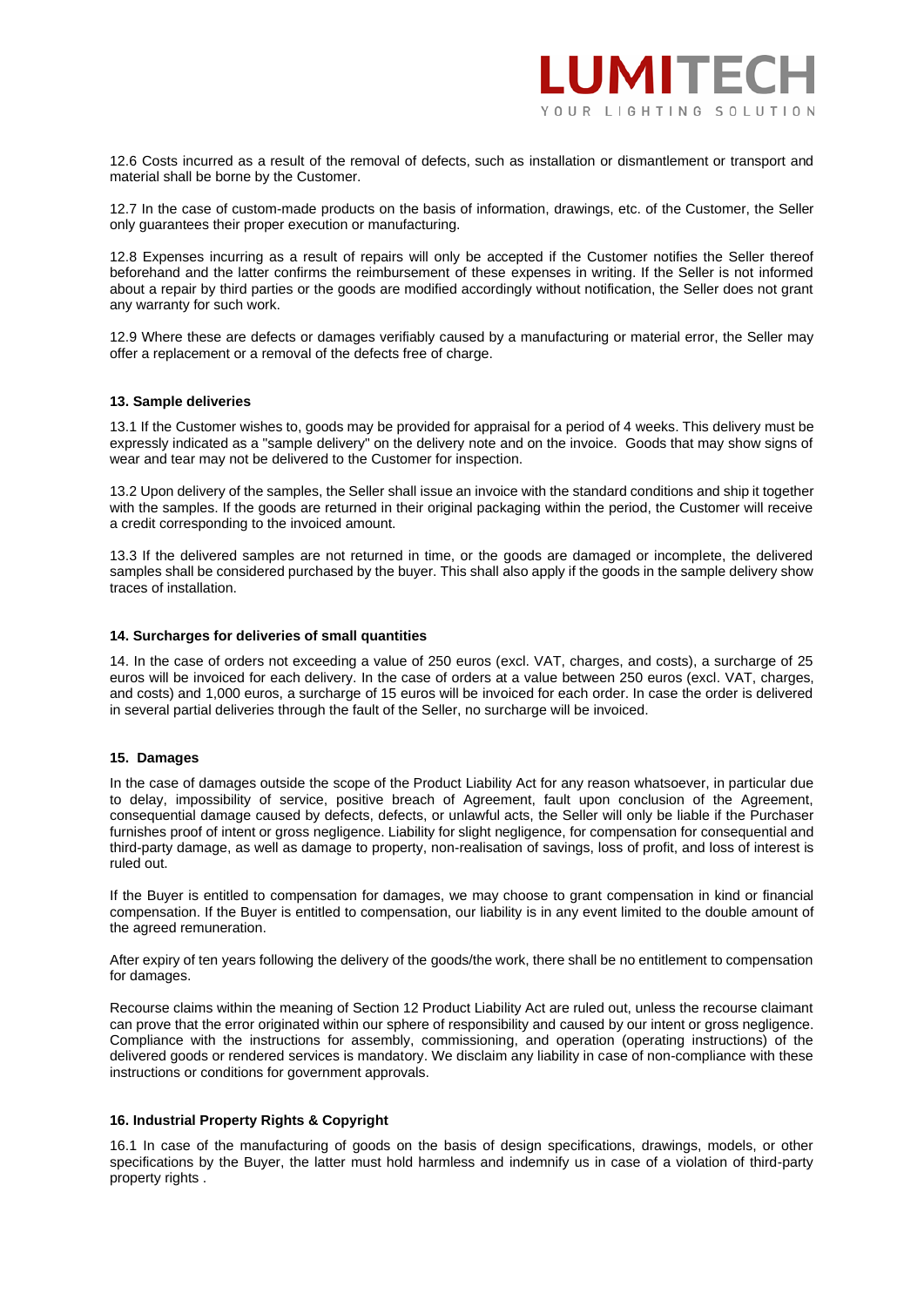

12.6 Costs incurred as a result of the removal of defects, such as installation or dismantlement or transport and material shall be borne by the Customer.

12.7 In the case of custom-made products on the basis of information, drawings, etc. of the Customer, the Seller only guarantees their proper execution or manufacturing.

12.8 Expenses incurring as a result of repairs will only be accepted if the Customer notifies the Seller thereof beforehand and the latter confirms the reimbursement of these expenses in writing. If the Seller is not informed about a repair by third parties or the goods are modified accordingly without notification, the Seller does not grant any warranty for such work.

12.9 Where these are defects or damages verifiably caused by a manufacturing or material error, the Seller may offer a replacement or a removal of the defects free of charge.

## **13. Sample deliveries**

13.1 If the Customer wishes to, goods may be provided for appraisal for a period of 4 weeks. This delivery must be expressly indicated as a "sample delivery" on the delivery note and on the invoice. Goods that may show signs of wear and tear may not be delivered to the Customer for inspection.

13.2 Upon delivery of the samples, the Seller shall issue an invoice with the standard conditions and ship it together with the samples. If the goods are returned in their original packaging within the period, the Customer will receive a credit corresponding to the invoiced amount.

13.3 If the delivered samples are not returned in time, or the goods are damaged or incomplete, the delivered samples shall be considered purchased by the buyer. This shall also apply if the goods in the sample delivery show traces of installation.

## **14. Surcharges for deliveries of small quantities**

14. In the case of orders not exceeding a value of 250 euros (excl. VAT, charges, and costs), a surcharge of 25 euros will be invoiced for each delivery. In the case of orders at a value between 250 euros (excl. VAT, charges, and costs) and 1,000 euros, a surcharge of 15 euros will be invoiced for each order. In case the order is delivered in several partial deliveries through the fault of the Seller, no surcharge will be invoiced.

## **15. Damages**

In the case of damages outside the scope of the Product Liability Act for any reason whatsoever, in particular due to delay, impossibility of service, positive breach of Agreement, fault upon conclusion of the Agreement, consequential damage caused by defects, defects, or unlawful acts, the Seller will only be liable if the Purchaser furnishes proof of intent or gross negligence. Liability for slight negligence, for compensation for consequential and third-party damage, as well as damage to property, non-realisation of savings, loss of profit, and loss of interest is ruled out.

If the Buyer is entitled to compensation for damages, we may choose to grant compensation in kind or financial compensation. If the Buyer is entitled to compensation, our liability is in any event limited to the double amount of the agreed remuneration.

After expiry of ten years following the delivery of the goods/the work, there shall be no entitlement to compensation for damages.

Recourse claims within the meaning of Section 12 Product Liability Act are ruled out, unless the recourse claimant can prove that the error originated within our sphere of responsibility and caused by our intent or gross negligence. Compliance with the instructions for assembly, commissioning, and operation (operating instructions) of the delivered goods or rendered services is mandatory. We disclaim any liability in case of non-compliance with these instructions or conditions for government approvals.

## **16. Industrial Property Rights & Copyright**

16.1 In case of the manufacturing of goods on the basis of design specifications, drawings, models, or other specifications by the Buyer, the latter must hold harmless and indemnify us in case of a violation of third-party property rights .